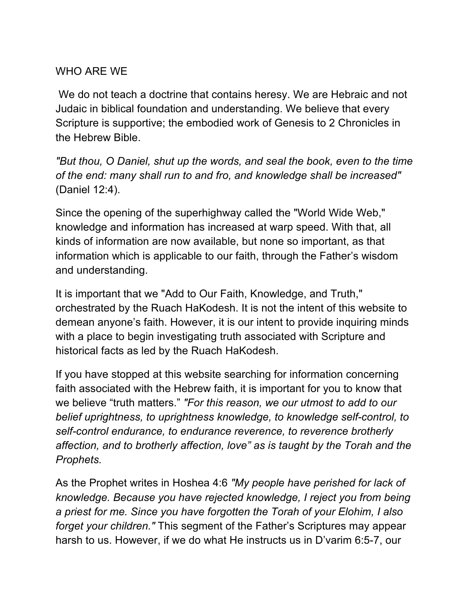## WHO ARE WE

 We do not teach a doctrine that contains heresy. We are Hebraic and not Judaic in biblical foundation and understanding. We believe that every Scripture is supportive; the embodied work of Genesis to 2 Chronicles in the Hebrew Bible.

*"But thou, O Daniel, shut up the words, and seal the book, even to the time of the end: many shall run to and fro, and knowledge shall be increased"*  (Daniel 12:4).

Since the opening of the superhighway called the "World Wide Web," knowledge and information has increased at warp speed. With that, all kinds of information are now available, but none so important, as that information which is applicable to our faith, through the Father's wisdom and understanding.

It is important that we "Add to Our Faith, Knowledge, and Truth," orchestrated by the Ruach HaKodesh. It is not the intent of this website to demean anyone's faith. However, it is our intent to provide inquiring minds with a place to begin investigating truth associated with Scripture and historical facts as led by the Ruach HaKodesh.

If you have stopped at this website searching for information concerning faith associated with the Hebrew faith, it is important for you to know that we believe "truth matters." *"For this reason, we our utmost to add to our belief uprightness, to uprightness knowledge, to knowledge self-control, to self-control endurance, to endurance reverence, to reverence brotherly affection, and to brotherly affection, love" as is taught by the Torah and the Prophets.*

As the Prophet writes in Hoshea 4:6 *"My people have perished for lack of knowledge. Because you have rejected knowledge, I reject you from being a priest for me. Since you have forgotten the Torah of your Elohim, I also forget your children."* This segment of the Father's Scriptures may appear harsh to us. However, if we do what He instructs us in D'varim 6:5-7, our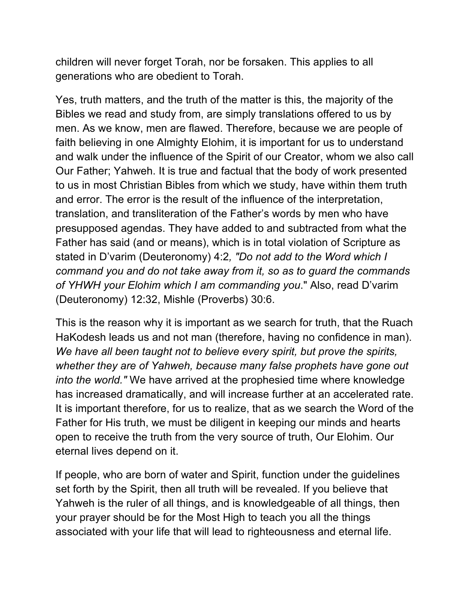children will never forget Torah, nor be forsaken. This applies to all generations who are obedient to Torah.

Yes, truth matters, and the truth of the matter is this, the majority of the Bibles we read and study from, are simply translations offered to us by men. As we know, men are flawed. Therefore, because we are people of faith believing in one Almighty Elohim, it is important for us to understand and walk under the influence of the Spirit of our Creator, whom we also call Our Father; Yahweh. It is true and factual that the body of work presented to us in most Christian Bibles from which we study, have within them truth and error. The error is the result of the influence of the interpretation, translation, and transliteration of the Father's words by men who have presupposed agendas. They have added to and subtracted from what the Father has said (and or means), which is in total violation of Scripture as stated in D'varim (Deuteronomy) 4:2*, "Do not add to the Word which I command you and do not take away from it, so as to guard the commands of YHWH your Elohim which I am commanding you*." Also, read D'varim (Deuteronomy) 12:32, Mishle (Proverbs) 30:6.

This is the reason why it is important as we search for truth, that the Ruach HaKodesh leads us and not man (therefore, having no confidence in man). *We have all been taught not to believe every spirit, but prove the spirits, whether they are of Yahweh, because many false prophets have gone out into the world."* We have arrived at the prophesied time where knowledge has increased dramatically, and will increase further at an accelerated rate. It is important therefore, for us to realize, that as we search the Word of the Father for His truth, we must be diligent in keeping our minds and hearts open to receive the truth from the very source of truth, Our Elohim. Our eternal lives depend on it.

If people, who are born of water and Spirit, function under the guidelines set forth by the Spirit, then all truth will be revealed. If you believe that Yahweh is the ruler of all things, and is knowledgeable of all things, then your prayer should be for the Most High to teach you all the things associated with your life that will lead to righteousness and eternal life.